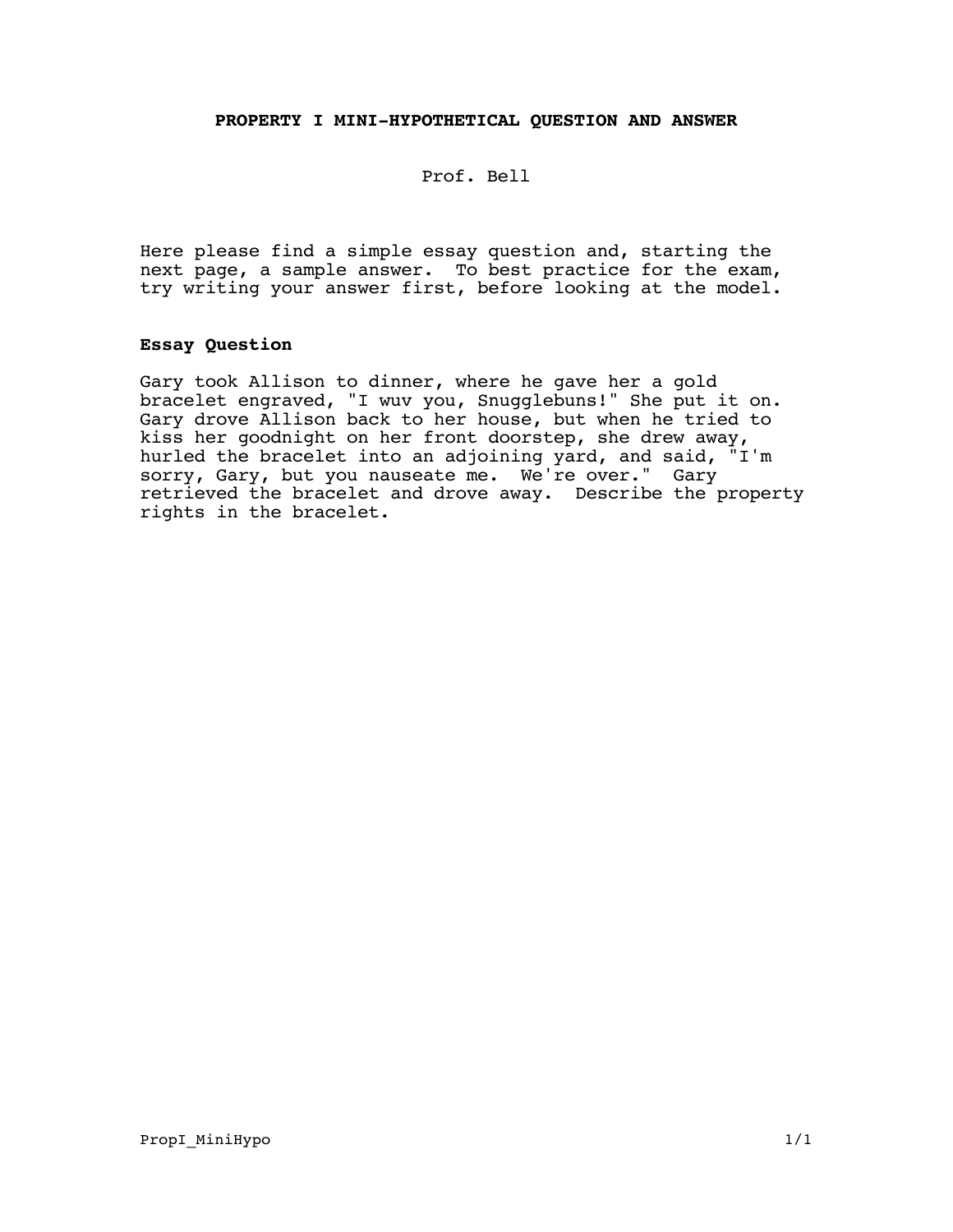## **PROPERTY I MINI-HYPOTHETICAL QUESTION AND ANSWER**

Prof. Bell

Here please find a simple essay question and, starting the next page, a sample answer. To best practice for the exam, try writing your answer first, before looking at the model.

## **Essay Question**

Gary took Allison to dinner, where he gave her a gold bracelet engraved, "I wuv you, Snugglebuns!" She put it on. Gary drove Allison back to her house, but when he tried to kiss her goodnight on her front doorstep, she drew away, hurled the bracelet into an adjoining yard, and said, "I'm sorry, Gary, but you nauseate me. We're over." Gary retrieved the bracelet and drove away. Describe the property rights in the bracelet.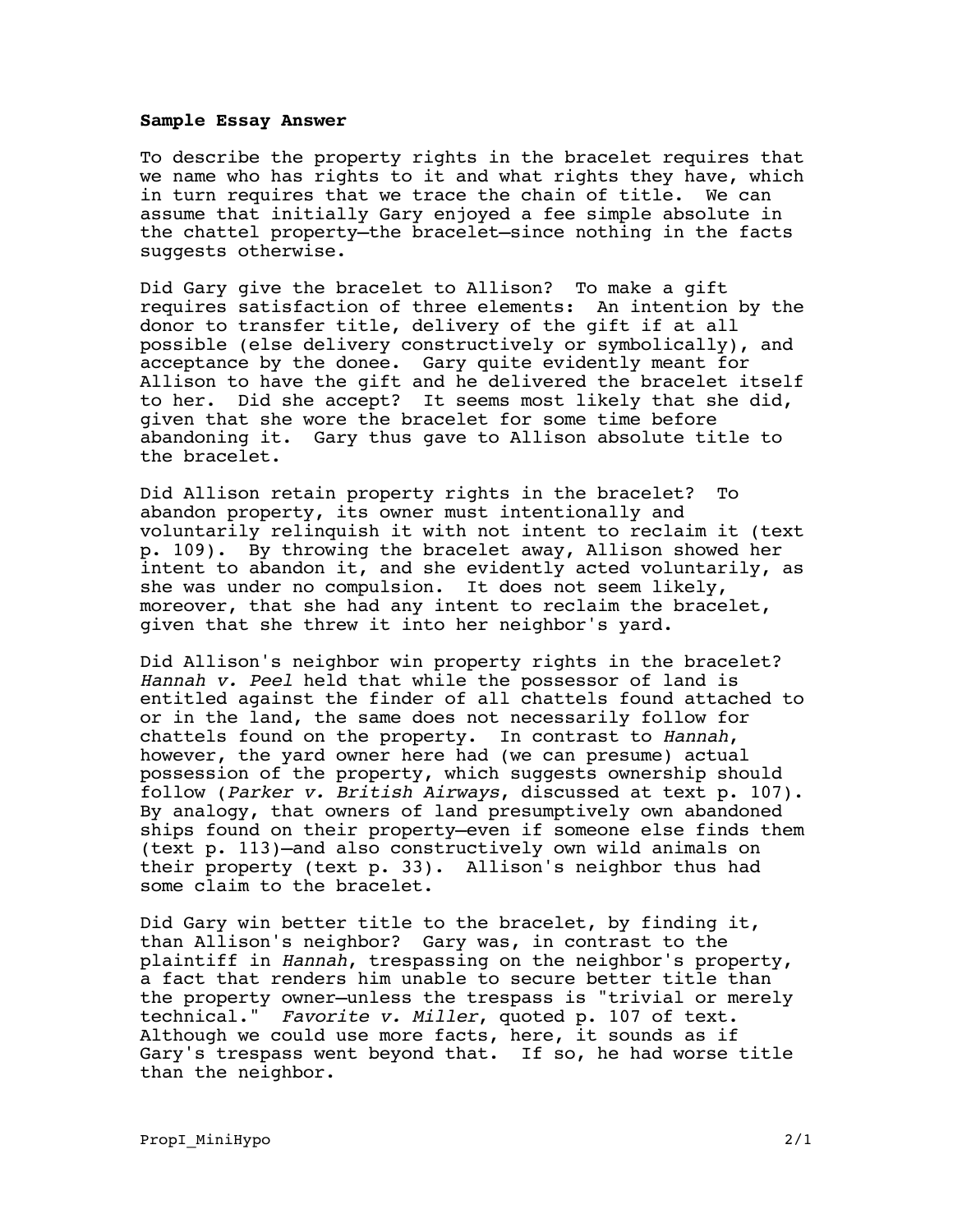## **Sample Essay Answer**

To describe the property rights in the bracelet requires that we name who has rights to it and what rights they have, which in turn requires that we trace the chain of title. We can assume that initially Gary enjoyed a fee simple absolute in the chattel property—the bracelet—since nothing in the facts suggests otherwise.

Did Gary give the bracelet to Allison? To make a gift requires satisfaction of three elements: An intention by the donor to transfer title, delivery of the gift if at all possible (else delivery constructively or symbolically), and acceptance by the donee. Gary quite evidently meant for Allison to have the gift and he delivered the bracelet itself to her. Did she accept? It seems most likely that she did, given that she wore the bracelet for some time before abandoning it. Gary thus gave to Allison absolute title to the bracelet.

Did Allison retain property rights in the bracelet? To abandon property, its owner must intentionally and voluntarily relinquish it with not intent to reclaim it (text p. 109). By throwing the bracelet away, Allison showed her intent to abandon it, and she evidently acted voluntarily, as she was under no compulsion. It does not seem likely, moreover, that she had any intent to reclaim the bracelet, given that she threw it into her neighbor's yard.

Did Allison's neighbor win property rights in the bracelet? Hannah v. Peel held that while the possessor of land is entitled against the finder of all chattels found attached to or in the land, the same does not necessarily follow for chattels found on the property. In contrast to Hannah, however, the yard owner here had (we can presume) actual possession of the property, which suggests ownership should follow (Parker v. British Airways, discussed at text p. 107). By analogy, that owners of land presumptively own abandoned ships found on their property—even if someone else finds them (text p. 113)—and also constructively own wild animals on their property (text p. 33). Allison's neighbor thus had some claim to the bracelet.

Did Gary win better title to the bracelet, by finding it, than Allison's neighbor? Gary was, in contrast to the plaintiff in Hannah, trespassing on the neighbor's property, a fact that renders him unable to secure better title than the property owner—unless the trespass is "trivial or merely technical." Favorite v. Miller, quoted p. 107 of text. Although we could use more facts, here, it sounds as if Gary's trespass went beyond that. If so, he had worse title than the neighbor.